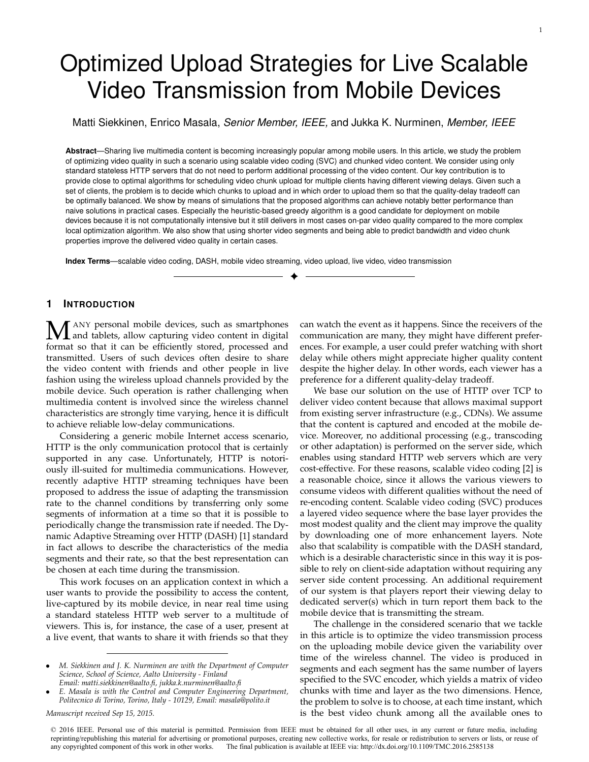# Optimized Upload Strategies for Live Scalable Video Transmission from Mobile Devices

Matti Siekkinen, Enrico Masala, *Senior Member, IEEE,* and Jukka K. Nurminen, *Member, IEEE*

**Abstract**—Sharing live multimedia content is becoming increasingly popular among mobile users. In this article, we study the problem of optimizing video quality in such a scenario using scalable video coding (SVC) and chunked video content. We consider using only standard stateless HTTP servers that do not need to perform additional processing of the video content. Our key contribution is to provide close to optimal algorithms for scheduling video chunk upload for multiple clients having different viewing delays. Given such a set of clients, the problem is to decide which chunks to upload and in which order to upload them so that the quality-delay tradeoff can be optimally balanced. We show by means of simulations that the proposed algorithms can achieve notably better performance than naive solutions in practical cases. Especially the heuristic-based greedy algorithm is a good candidate for deployment on mobile devices because it is not computationally intensive but it still delivers in most cases on-par video quality compared to the more complex local optimization algorithm. We also show that using shorter video segments and being able to predict bandwidth and video chunk properties improve the delivered video quality in certain cases.

✦

**Index Terms**—scalable video coding, DASH, mobile video streaming, video upload, live video, video transmission

# **1 INTRODUCTION**

**M** ANY personal mobile devices, such as smartphones<br>format so that it can be efficiently stored, processed and format so that it can be efficiently stored, processed and transmitted. Users of such devices often desire to share the video content with friends and other people in live fashion using the wireless upload channels provided by the mobile device. Such operation is rather challenging when multimedia content is involved since the wireless channel characteristics are strongly time varying, hence it is difficult to achieve reliable low-delay communications.

Considering a generic mobile Internet access scenario, HTTP is the only communication protocol that is certainly supported in any case. Unfortunately, HTTP is notoriously ill-suited for multimedia communications. However, recently adaptive HTTP streaming techniques have been proposed to address the issue of adapting the transmission rate to the channel conditions by transferring only some segments of information at a time so that it is possible to periodically change the transmission rate if needed. The Dynamic Adaptive Streaming over HTTP (DASH) [1] standard in fact allows to describe the characteristics of the media segments and their rate, so that the best representation can be chosen at each time during the transmission.

This work focuses on an application context in which a user wants to provide the possibility to access the content, live-captured by its mobile device, in near real time using a standard stateless HTTP web server to a multitude of viewers. This is, for instance, the case of a user, present at a live event, that wants to share it with friends so that they

*Manuscript received Sep 15, 2015.*

can watch the event as it happens. Since the receivers of the communication are many, they might have different preferences. For example, a user could prefer watching with short delay while others might appreciate higher quality content despite the higher delay. In other words, each viewer has a preference for a different quality-delay tradeoff.

We base our solution on the use of HTTP over TCP to deliver video content because that allows maximal support from existing server infrastructure (e.g., CDNs). We assume that the content is captured and encoded at the mobile device. Moreover, no additional processing (e.g., transcoding or other adaptation) is performed on the server side, which enables using standard HTTP web servers which are very cost-effective. For these reasons, scalable video coding [2] is a reasonable choice, since it allows the various viewers to consume videos with different qualities without the need of re-encoding content. Scalable video coding (SVC) produces a layered video sequence where the base layer provides the most modest quality and the client may improve the quality by downloading one of more enhancement layers. Note also that scalability is compatible with the DASH standard, which is a desirable characteristic since in this way it is possible to rely on client-side adaptation without requiring any server side content processing. An additional requirement of our system is that players report their viewing delay to dedicated server(s) which in turn report them back to the mobile device that is transmitting the stream.

The challenge in the considered scenario that we tackle in this article is to optimize the video transmission process on the uploading mobile device given the variability over time of the wireless channel. The video is produced in segments and each segment has the same number of layers specified to the SVC encoder, which yields a matrix of video chunks with time and layer as the two dimensions. Hence, the problem to solve is to choose, at each time instant, which is the best video chunk among all the available ones to

<sup>•</sup> *M. Siekkinen and J. K. Nurminen are with the Department of Computer Science, School of Science, Aalto University - Finland Email: matti.siekkinen@aalto.fi, jukka.k.nurminen@aalto.fi*

<sup>•</sup> *E. Masala is with the Control and Computer Engineering Department, Politecnico di Torino, Torino, Italy - 10129, Email: masala@polito.it*

<sup>© 2016</sup> IEEE. Personal use of this material is permitted. Permission from IEEE must be obtained for all other uses, in any current or future media, including reprinting/republishing this material for advertising or promotional purposes, creating new collective works, for resale or redistribution to servers or lists, or reuse of any copyrighted component of this work in other works. The final publication is available at IEEE via: http://dx.doi.org/10.1109/TMC.2016.2585138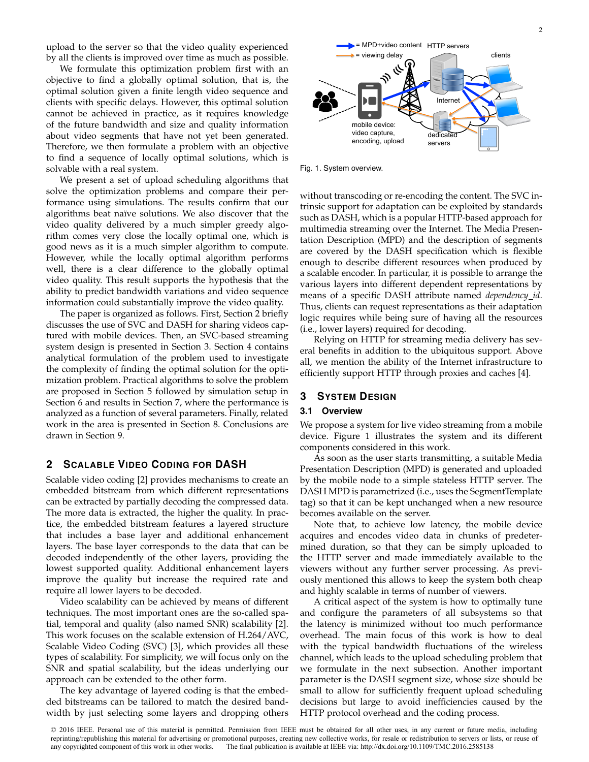upload to the server so that the video quality experienced by all the clients is improved over time as much as possible.

We formulate this optimization problem first with an objective to find a globally optimal solution, that is, the optimal solution given a finite length video sequence and clients with specific delays. However, this optimal solution cannot be achieved in practice, as it requires knowledge of the future bandwidth and size and quality information about video segments that have not yet been generated. Therefore, we then formulate a problem with an objective to find a sequence of locally optimal solutions, which is solvable with a real system.

We present a set of upload scheduling algorithms that solve the optimization problems and compare their performance using simulations. The results confirm that our algorithms beat naïve solutions. We also discover that the video quality delivered by a much simpler greedy algorithm comes very close the locally optimal one, which is good news as it is a much simpler algorithm to compute. However, while the locally optimal algorithm performs well, there is a clear difference to the globally optimal video quality. This result supports the hypothesis that the ability to predict bandwidth variations and video sequence information could substantially improve the video quality.

The paper is organized as follows. First, Section 2 briefly discusses the use of SVC and DASH for sharing videos captured with mobile devices. Then, an SVC-based streaming system design is presented in Section 3. Section 4 contains analytical formulation of the problem used to investigate the complexity of finding the optimal solution for the optimization problem. Practical algorithms to solve the problem are proposed in Section 5 followed by simulation setup in Section 6 and results in Section 7, where the performance is analyzed as a function of several parameters. Finally, related work in the area is presented in Section 8. Conclusions are drawn in Section 9.

### **2 SCALABLE VIDEO CODING FOR DASH**

Scalable video coding [2] provides mechanisms to create an embedded bitstream from which different representations can be extracted by partially decoding the compressed data. The more data is extracted, the higher the quality. In practice, the embedded bitstream features a layered structure that includes a base layer and additional enhancement layers. The base layer corresponds to the data that can be decoded independently of the other layers, providing the lowest supported quality. Additional enhancement layers improve the quality but increase the required rate and require all lower layers to be decoded.

Video scalability can be achieved by means of different techniques. The most important ones are the so-called spatial, temporal and quality (also named SNR) scalability [2]. This work focuses on the scalable extension of H.264/AVC, Scalable Video Coding (SVC) [3], which provides all these types of scalability. For simplicity, we will focus only on the SNR and spatial scalability, but the ideas underlying our approach can be extended to the other form.

The key advantage of layered coding is that the embedded bitstreams can be tailored to match the desired bandwidth by just selecting some layers and dropping others



Fig. 1. System overview.

without transcoding or re-encoding the content. The SVC intrinsic support for adaptation can be exploited by standards such as DASH, which is a popular HTTP-based approach for multimedia streaming over the Internet. The Media Presentation Description (MPD) and the description of segments are covered by the DASH specification which is flexible enough to describe different resources when produced by a scalable encoder. In particular, it is possible to arrange the various layers into different dependent representations by means of a specific DASH attribute named *dependency id*. Thus, clients can request representations as their adaptation logic requires while being sure of having all the resources (i.e., lower layers) required for decoding.

Relying on HTTP for streaming media delivery has several benefits in addition to the ubiquitous support. Above all, we mention the ability of the Internet infrastructure to efficiently support HTTP through proxies and caches [4].

# **3 SYSTEM DESIGN**

## **3.1 Overview**

We propose a system for live video streaming from a mobile device. Figure 1 illustrates the system and its different components considered in this work.

As soon as the user starts transmitting, a suitable Media Presentation Description (MPD) is generated and uploaded by the mobile node to a simple stateless HTTP server. The DASH MPD is parametrized (i.e., uses the SegmentTemplate tag) so that it can be kept unchanged when a new resource becomes available on the server.

Note that, to achieve low latency, the mobile device acquires and encodes video data in chunks of predetermined duration, so that they can be simply uploaded to the HTTP server and made immediately available to the viewers without any further server processing. As previously mentioned this allows to keep the system both cheap and highly scalable in terms of number of viewers.

A critical aspect of the system is how to optimally tune and configure the parameters of all subsystems so that the latency is minimized without too much performance overhead. The main focus of this work is how to deal with the typical bandwidth fluctuations of the wireless channel, which leads to the upload scheduling problem that we formulate in the next subsection. Another important parameter is the DASH segment size, whose size should be small to allow for sufficiently frequent upload scheduling decisions but large to avoid inefficiencies caused by the HTTP protocol overhead and the coding process.

<sup>© 2016</sup> IEEE. Personal use of this material is permitted. Permission from IEEE must be obtained for all other uses, in any current or future media, including reprinting/republishing this material for advertising or promotional purposes, creating new collective works, for resale or redistribution to servers or lists, or reuse of any copyrighted component of this work in other works. The final publication is available at IEEE via: http://dx.doi.org/10.1109/TMC.2016.2585138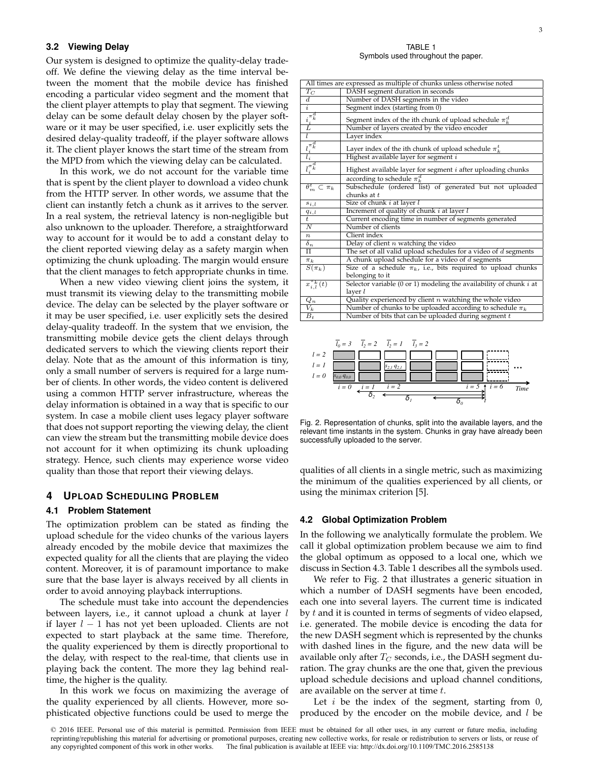## **3.2 Viewing Delay**

Our system is designed to optimize the quality-delay tradeoff. We define the viewing delay as the time interval between the moment that the mobile device has finished encoding a particular video segment and the moment that the client player attempts to play that segment. The viewing delay can be some default delay chosen by the player software or it may be user specified, i.e. user explicitly sets the desired delay-quality tradeoff, if the player software allows it. The client player knows the start time of the stream from the MPD from which the viewing delay can be calculated.

In this work, we do not account for the variable time that is spent by the client player to download a video chunk from the HTTP server. In other words, we assume that the client can instantly fetch a chunk as it arrives to the server. In a real system, the retrieval latency is non-negligible but also unknown to the uploader. Therefore, a straightforward way to account for it would be to add a constant delay to the client reported viewing delay as a safety margin when optimizing the chunk uploading. The margin would ensure that the client manages to fetch appropriate chunks in time.

When a new video viewing client joins the system, it must transmit its viewing delay to the transmitting mobile device. The delay can be selected by the player software or it may be user specified, i.e. user explicitly sets the desired delay-quality tradeoff. In the system that we envision, the transmitting mobile device gets the client delays through dedicated servers to which the viewing clients report their delay. Note that as the amount of this information is tiny, only a small number of servers is required for a large number of clients. In other words, the video content is delivered using a common HTTP server infrastructure, whereas the delay information is obtained in a way that is specific to our system. In case a mobile client uses legacy player software that does not support reporting the viewing delay, the client can view the stream but the transmitting mobile device does not account for it when optimizing its chunk uploading strategy. Hence, such clients may experience worse video quality than those that report their viewing delays.

# **4 UPLOAD SCHEDULING PROBLEM**

#### **4.1 Problem Statement**

The optimization problem can be stated as finding the upload schedule for the video chunks of the various layers already encoded by the mobile device that maximizes the expected quality for all the clients that are playing the video content. Moreover, it is of paramount importance to make sure that the base layer is always received by all clients in order to avoid annoying playback interruptions.

The schedule must take into account the dependencies between layers, i.e., it cannot upload a chunk at layer  $l$ if layer  $l - 1$  has not yet been uploaded. Clients are not expected to start playback at the same time. Therefore, the quality experienced by them is directly proportional to the delay, with respect to the real-time, that clients use in playing back the content. The more they lag behind realtime, the higher is the quality.

In this work we focus on maximizing the average of the quality experienced by all clients. However, more sophisticated objective functions could be used to merge the

TABLE 1 Symbols used throughout the paper.

| All times are expressed as multiple of chunks unless otherwise noted                         |                                                                                                                             |  |  |  |  |
|----------------------------------------------------------------------------------------------|-----------------------------------------------------------------------------------------------------------------------------|--|--|--|--|
| $T_C$                                                                                        | DASH segment duration in seconds                                                                                            |  |  |  |  |
| d                                                                                            | Number of DASH segments in the video                                                                                        |  |  |  |  |
| $\overline{i}$                                                                               | Segment index (starting from 0)                                                                                             |  |  |  |  |
| $\frac{i_i^{\pi_k^d}}{L}$                                                                    | Segment index of the ith chunk of upload schedule $\pi_k^d$                                                                 |  |  |  |  |
|                                                                                              | Number of layers created by the video encoder                                                                               |  |  |  |  |
| l                                                                                            | Layer index                                                                                                                 |  |  |  |  |
| $\frac{l_i^{\pi_k^d}}{l_i}$                                                                  | Layer index of the ith chunk of upload schedule $\pi_k^t$                                                                   |  |  |  |  |
|                                                                                              | Highest available layer for segment $i$                                                                                     |  |  |  |  |
|                                                                                              | $\overline{\overline{l}_{i}^{\pi}^{\overline{d}}\n}$<br>Highest available layer for segment <i>i</i> after uploading chunks |  |  |  |  |
|                                                                                              | according to schedule $\pi_k^d$                                                                                             |  |  |  |  |
| $\overline{\theta_m^t \subset \pi_k}$                                                        | Subschedule (ordered list) of generated but not uploaded<br>chunks at $t$                                                   |  |  |  |  |
|                                                                                              |                                                                                                                             |  |  |  |  |
|                                                                                              | Size of chunk <i>i</i> at layer <i>l</i><br>$s_{i,l}$                                                                       |  |  |  |  |
| $\frac{q_{i,l}}{t}$                                                                          | Increment of quality of chunk $i$ at layer $l$                                                                              |  |  |  |  |
|                                                                                              | Current encoding time in number of segments generated                                                                       |  |  |  |  |
|                                                                                              | Number of clients<br>$\overline{N}$                                                                                         |  |  |  |  |
| $\, n$                                                                                       | Client index                                                                                                                |  |  |  |  |
| $\delta_n$                                                                                   | Delay of client $n$ watching the video                                                                                      |  |  |  |  |
| π                                                                                            | The set of all valid upload schedules for a video of $d$ segments                                                           |  |  |  |  |
| $\pi_k$                                                                                      | A chunk upload schedule for a video of d segments                                                                           |  |  |  |  |
| $S(\pi_k)$                                                                                   | Size of a schedule $\pi_k$ , i.e., bits required to upload chunks                                                           |  |  |  |  |
|                                                                                              | belonging to it                                                                                                             |  |  |  |  |
| $x_{i,l}^{\pi_k}(t)$<br>Selector variable (0 or 1) modeling the availability of chunk $i$ at |                                                                                                                             |  |  |  |  |
|                                                                                              | layer $l$                                                                                                                   |  |  |  |  |
| $\scriptstyle{Q_n}$                                                                          | Quality experienced by client $n$ watching the whole video                                                                  |  |  |  |  |
| $V_k$                                                                                        | Number of chunks to be uploaded according to schedule $\pi_k$                                                               |  |  |  |  |
| $\overline{B_t}$                                                                             | Number of bits that can be uploaded during segment $t$                                                                      |  |  |  |  |
|                                                                                              |                                                                                                                             |  |  |  |  |



Fig. 2. Representation of chunks, split into the available layers, and the relevant time instants in the system. Chunks in gray have already been successfully uploaded to the server.

qualities of all clients in a single metric, such as maximizing the minimum of the qualities experienced by all clients, or using the minimax criterion [5].

#### **4.2 Global Optimization Problem**

In the following we analytically formulate the problem. We call it global optimization problem because we aim to find the global optimum as opposed to a local one, which we discuss in Section 4.3. Table 1 describes all the symbols used.

We refer to Fig. 2 that illustrates a generic situation in which a number of DASH segments have been encoded, each one into several layers. The current time is indicated by  $t$  and it is counted in terms of segments of video elapsed, i.e. generated. The mobile device is encoding the data for the new DASH segment which is represented by the chunks with dashed lines in the figure, and the new data will be available only after  $T_C$  seconds, i.e., the DASH segment duration. The gray chunks are the one that, given the previous upload schedule decisions and upload channel conditions, are available on the server at time t.

Let  $i$  be the index of the segment, starting from  $0$ , produced by the encoder on the mobile device, and  $l$  be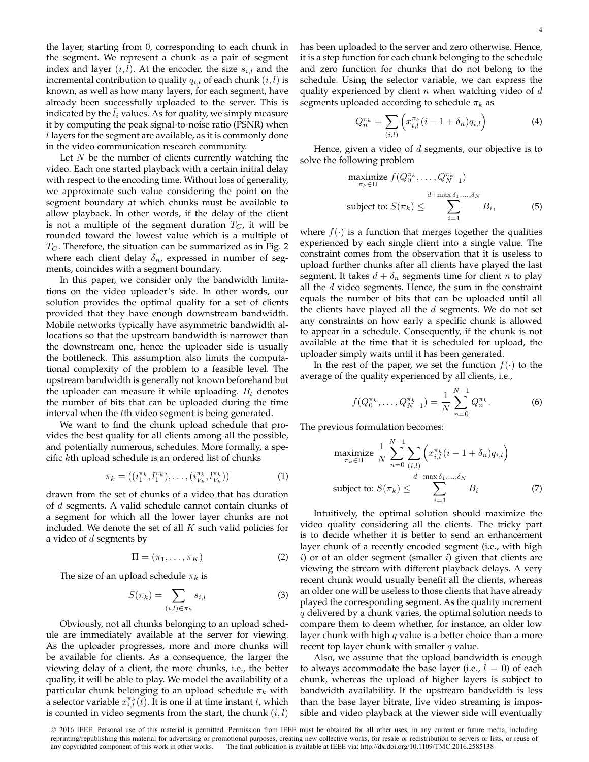the layer, starting from 0, corresponding to each chunk in the segment. We represent a chunk as a pair of segment index and layer  $(i, l)$ . At the encoder, the size  $s_{i,l}$  and the incremental contribution to quality  $q_{i,l}$  of each chunk  $(i, l)$  is known, as well as how many layers, for each segment, have already been successfully uploaded to the server. This is indicated by the  $l_i$  values. As for quality, we simply measure it by computing the peak signal-to-noise ratio (PSNR) when l layers for the segment are available, as it is commonly done in the video communication research community.

Let  $N$  be the number of clients currently watching the video. Each one started playback with a certain initial delay with respect to the encoding time. Without loss of generality, we approximate such value considering the point on the segment boundary at which chunks must be available to allow playback. In other words, if the delay of the client is not a multiple of the segment duration  $T_C$ , it will be rounded toward the lowest value which is a multiple of  $T_C$ . Therefore, the situation can be summarized as in Fig. 2 where each client delay  $\delta_n$ , expressed in number of segments, coincides with a segment boundary.

In this paper, we consider only the bandwidth limitations on the video uploader's side. In other words, our solution provides the optimal quality for a set of clients provided that they have enough downstream bandwidth. Mobile networks typically have asymmetric bandwidth allocations so that the upstream bandwidth is narrower than the downstream one, hence the uploader side is usually the bottleneck. This assumption also limits the computational complexity of the problem to a feasible level. The upstream bandwidth is generally not known beforehand but the uploader can measure it while uploading.  $B_t$  denotes the number of bits that can be uploaded during the time interval when the tth video segment is being generated.

We want to find the chunk upload schedule that provides the best quality for all clients among all the possible, and potentially numerous, schedules. More formally, a specific kth upload schedule is an ordered list of chunks

$$
\pi_k = ((i_1^{\pi_k}, l_1^{\pi_k}), \dots, (i_{V_k}^{\pi_k}, l_{V_k}^{\pi_k})) \tag{1}
$$

drawn from the set of chunks of a video that has duration of d segments. A valid schedule cannot contain chunks of a segment for which all the lower layer chunks are not included. We denote the set of all  $K$  such valid policies for a video of  $d$  segments by

$$
\Pi = (\pi_1, \dots, \pi_K) \tag{2}
$$

The size of an upload schedule  $\pi_k$  is

$$
S(\pi_k) = \sum_{(i,l) \in \pi_k} s_{i,l} \tag{3}
$$

Obviously, not all chunks belonging to an upload schedule are immediately available at the server for viewing. As the uploader progresses, more and more chunks will be available for clients. As a consequence, the larger the viewing delay of a client, the more chunks, i.e., the better quality, it will be able to play. We model the availability of a particular chunk belonging to an upload schedule  $\pi_k$  with a selector variable  $x_{i,l}^{\pi_k}(t)$ . It is one if at time instant  $t$ , which is counted in video segments from the start, the chunk  $(i, l)$  has been uploaded to the server and zero otherwise. Hence, it is a step function for each chunk belonging to the schedule and zero function for chunks that do not belong to the schedule. Using the selector variable, we can express the quality experienced by client  $n$  when watching video of  $d$ segments uploaded according to schedule  $\pi_k$  as

$$
Q_n^{\pi_k} = \sum_{(i,l)} \left( x_{i,l}^{\pi_k} (i - 1 + \delta_n) q_{i,l} \right)
$$
 (4)

Hence, given a video of  $d$  segments, our objective is to solve the following problem

$$
\begin{array}{ll}\n\text{maximize } f(Q_0^{\pi_k}, \dots, Q_{N-1}^{\pi_k}) \\
\pi_k \in \Pi \quad \text{at } \pi_k & \text{at } \pi_k, \dots, \delta_N \\
\text{subject to: } S(\pi_k) \leq \sum_{i=1}^{N+1} B_i, \quad \text{(5)}\n\end{array}
$$

where  $f(\cdot)$  is a function that merges together the qualities experienced by each single client into a single value. The constraint comes from the observation that it is useless to upload further chunks after all clients have played the last segment. It takes  $d + \delta_n$  segments time for client *n* to play all the  $d$  video segments. Hence, the sum in the constraint equals the number of bits that can be uploaded until all the clients have played all the  $d$  segments. We do not set any constraints on how early a specific chunk is allowed to appear in a schedule. Consequently, if the chunk is not available at the time that it is scheduled for upload, the uploader simply waits until it has been generated.

In the rest of the paper, we set the function  $f(\cdot)$  to the average of the quality experienced by all clients, i.e.,

$$
f(Q_0^{\pi_k}, \dots, Q_{N-1}^{\pi_k}) = \frac{1}{N} \sum_{n=0}^{N-1} Q_n^{\pi_k}.
$$
 (6)

The previous formulation becomes:

$$
\underset{\pi_k \in \Pi}{\text{maximize}} \frac{1}{N} \sum_{n=0}^{N-1} \sum_{(i,l)} \left( x_{i,l}^{\pi_k} (i-1+\delta_n) q_{i,l} \right)
$$
\n
$$
\underset{d+\max \delta_1, \dots, \delta_N}{\text{subject to:}} S(\pi_k) \le \sum_{i=1}^{N+\max \delta_1, \dots, \delta_N} B_i \tag{7}
$$

Intuitively, the optimal solution should maximize the video quality considering all the clients. The tricky part is to decide whether it is better to send an enhancement layer chunk of a recently encoded segment (i.e., with high i) or of an older segment (smaller i) given that clients are viewing the stream with different playback delays. A very recent chunk would usually benefit all the clients, whereas an older one will be useless to those clients that have already played the corresponding segment. As the quality increment  $q$  delivered by a chunk varies, the optimal solution needs to compare them to deem whether, for instance, an older low layer chunk with high  $q$  value is a better choice than a more recent top layer chunk with smaller  $q$  value.

Also, we assume that the upload bandwidth is enough to always accommodate the base layer (i.e.,  $l = 0$ ) of each chunk, whereas the upload of higher layers is subject to bandwidth availability. If the upstream bandwidth is less than the base layer bitrate, live video streaming is impossible and video playback at the viewer side will eventually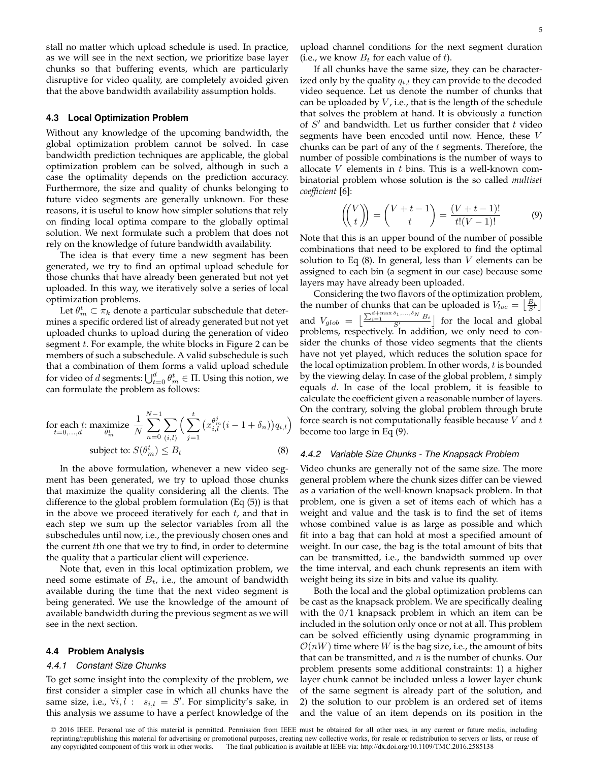stall no matter which upload schedule is used. In practice, as we will see in the next section, we prioritize base layer chunks so that buffering events, which are particularly disruptive for video quality, are completely avoided given that the above bandwidth availability assumption holds.

#### **4.3 Local Optimization Problem**

Without any knowledge of the upcoming bandwidth, the global optimization problem cannot be solved. In case bandwidth prediction techniques are applicable, the global optimization problem can be solved, although in such a case the optimality depends on the prediction accuracy. Furthermore, the size and quality of chunks belonging to future video segments are generally unknown. For these reasons, it is useful to know how simpler solutions that rely on finding local optima compare to the globally optimal solution. We next formulate such a problem that does not rely on the knowledge of future bandwidth availability.

The idea is that every time a new segment has been generated, we try to find an optimal upload schedule for those chunks that have already been generated but not yet uploaded. In this way, we iteratively solve a series of local optimization problems.

Let  $\theta_m^t \subset \pi_k$  denote a particular subschedule that determines a specific ordered list of already generated but not yet uploaded chunks to upload during the generation of video segment t. For example, the white blocks in Figure 2 can be members of such a subschedule. A valid subschedule is such that a combination of them forms a valid upload schedule for video of  $d$  segments:  $\bigcup_{t=0}^d \theta_m^t \in \Pi$ . Using this notion, we can formulate the problem as follows:

for each *t*: maximize 
$$
\frac{1}{N} \sum_{n=0}^{N-1} \sum_{(i,l)} \left( \sum_{j=1}^{t} \left( x_{i,l}^{\theta_n^j}(i-1+\delta_n) \right) q_{i,l} \right)
$$
subject to: 
$$
S(\theta_m^t) \leq B_t
$$
 (8)

In the above formulation, whenever a new video segment has been generated, we try to upload those chunks that maximize the quality considering all the clients. The difference to the global problem formulation (Eq (5)) is that in the above we proceed iteratively for each  $t$ , and that in each step we sum up the selector variables from all the subschedules until now, i.e., the previously chosen ones and the current tth one that we try to find, in order to determine the quality that a particular client will experience.

Note that, even in this local optimization problem, we need some estimate of  $B_t$ , i.e., the amount of bandwidth available during the time that the next video segment is being generated. We use the knowledge of the amount of available bandwidth during the previous segment as we will see in the next section.

#### **4.4 Problem Analysis**

#### *4.4.1 Constant Size Chunks*

To get some insight into the complexity of the problem, we first consider a simpler case in which all chunks have the same size, i.e.,  $\forall i, \overline{l}$  :  $s_{i,l} = S'$ . For simplicity's sake, in this analysis we assume to have a perfect knowledge of the upload channel conditions for the next segment duration (i.e., we know  $B_t$  for each value of t).

If all chunks have the same size, they can be characterized only by the quality  $q_{i,l}$  they can provide to the decoded video sequence. Let us denote the number of chunks that can be uploaded by  $V$ , i.e., that is the length of the schedule that solves the problem at hand. It is obviously a function of  $S'$  and bandwidth. Let us further consider that  $t$  video segments have been encoded until now. Hence, these V chunks can be part of any of the  $t$  segments. Therefore, the number of possible combinations is the number of ways to allocate  $V$  elements in  $t$  bins. This is a well-known combinatorial problem whose solution is the so called *multiset coefficient* [6]:

$$
\begin{pmatrix} V \\ t \end{pmatrix} = \begin{pmatrix} V+t-1 \\ t \end{pmatrix} = \frac{(V+t-1)!}{t!(V-1)!} \tag{9}
$$

Note that this is an upper bound of the number of possible combinations that need to be explored to find the optimal solution to Eq  $(8)$ . In general, less than V elements can be assigned to each bin (a segment in our case) because some layers may have already been uploaded.

Considering the two flavors of the optimization problem, the number of chunks that can be uploaded is  $V_{loc} = \left| \frac{B_t}{S'} \right|$ CHUIRS that can be uptodued is  $v_{loc} = \lfloor \frac{S'}{S'} \rfloor$ <br> $\lfloor \frac{\sum_{i=1}^{d+\max \delta_1,...,\delta_N} B_i}{S'} \rfloor$  for the local and global and  $V_{glob} =$ problems, respectively. In addition, we only need to consider the chunks of those video segments that the clients have not yet played, which reduces the solution space for the local optimization problem. In other words,  $t$  is bounded by the viewing delay. In case of the global problem,  $t$  simply equals d. In case of the local problem, it is feasible to calculate the coefficient given a reasonable number of layers. On the contrary, solving the global problem through brute force search is not computationally feasible because  $V$  and  $t$ become too large in Eq (9).

## *4.4.2 Variable Size Chunks - The Knapsack Problem*

Video chunks are generally not of the same size. The more general problem where the chunk sizes differ can be viewed as a variation of the well-known knapsack problem. In that problem, one is given a set of items each of which has a weight and value and the task is to find the set of items whose combined value is as large as possible and which fit into a bag that can hold at most a specified amount of weight. In our case, the bag is the total amount of bits that can be transmitted, i.e., the bandwidth summed up over the time interval, and each chunk represents an item with weight being its size in bits and value its quality.

Both the local and the global optimization problems can be cast as the knapsack problem. We are specifically dealing with the 0/1 knapsack problem in which an item can be included in the solution only once or not at all. This problem can be solved efficiently using dynamic programming in  $\mathcal{O}(nW)$  time where W is the bag size, i.e., the amount of bits that can be transmitted, and  $n$  is the number of chunks. Our problem presents some additional constraints: 1) a higher layer chunk cannot be included unless a lower layer chunk of the same segment is already part of the solution, and 2) the solution to our problem is an ordered set of items and the value of an item depends on its position in the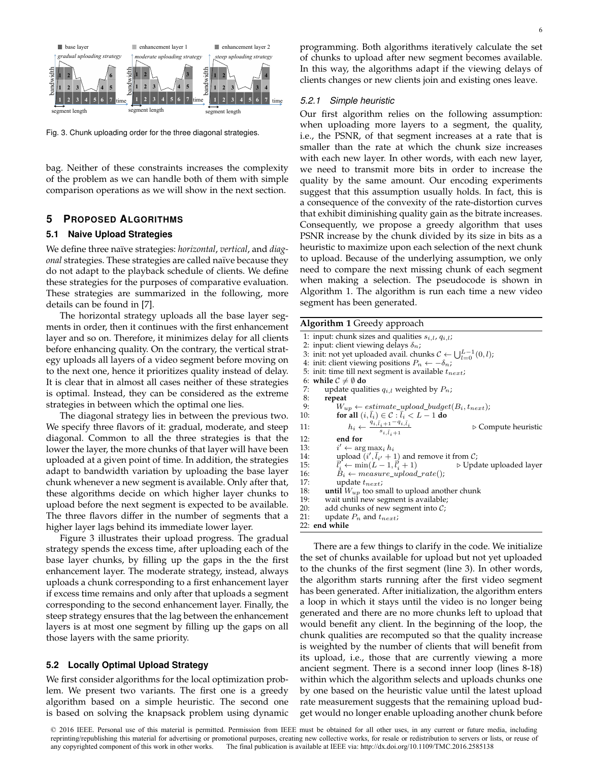

Fig. 3. Chunk uploading order for the three diagonal strategies.

bag. Neither of these constraints increases the complexity of the problem as we can handle both of them with simple comparison operations as we will show in the next section.

## **5 PROPOSED ALGORITHMS**

## **5.1 Naive Upload Strategies**

We define three na¨ıve strategies: *horizontal*, *vertical*, and *diagonal* strategies. These strategies are called naïve because they do not adapt to the playback schedule of clients. We define these strategies for the purposes of comparative evaluation. These strategies are summarized in the following, more details can be found in [7].

The horizontal strategy uploads all the base layer segments in order, then it continues with the first enhancement layer and so on. Therefore, it minimizes delay for all clients before enhancing quality. On the contrary, the vertical strategy uploads all layers of a video segment before moving on to the next one, hence it prioritizes quality instead of delay. It is clear that in almost all cases neither of these strategies is optimal. Instead, they can be considered as the extreme strategies in between which the optimal one lies.

The diagonal strategy lies in between the previous two. We specify three flavors of it: gradual, moderate, and steep diagonal. Common to all the three strategies is that the lower the layer, the more chunks of that layer will have been uploaded at a given point of time. In addition, the strategies adapt to bandwidth variation by uploading the base layer chunk whenever a new segment is available. Only after that, these algorithms decide on which higher layer chunks to upload before the next segment is expected to be available. The three flavors differ in the number of segments that a higher layer lags behind its immediate lower layer.

Figure 3 illustrates their upload progress. The gradual strategy spends the excess time, after uploading each of the base layer chunks, by filling up the gaps in the the first enhancement layer. The moderate strategy, instead, always uploads a chunk corresponding to a first enhancement layer if excess time remains and only after that uploads a segment corresponding to the second enhancement layer. Finally, the steep strategy ensures that the lag between the enhancement layers is at most one segment by filling up the gaps on all those layers with the same priority.

#### **5.2 Locally Optimal Upload Strategy**

We first consider algorithms for the local optimization problem. We present two variants. The first one is a greedy algorithm based on a simple heuristic. The second one is based on solving the knapsack problem using dynamic

programming. Both algorithms iteratively calculate the set of chunks to upload after new segment becomes available. In this way, the algorithms adapt if the viewing delays of clients changes or new clients join and existing ones leave.

#### *5.2.1 Simple heuristic*

Our first algorithm relies on the following assumption: when uploading more layers to a segment, the quality, i.e., the PSNR, of that segment increases at a rate that is smaller than the rate at which the chunk size increases with each new layer. In other words, with each new layer, we need to transmit more bits in order to increase the quality by the same amount. Our encoding experiments suggest that this assumption usually holds. In fact, this is a consequence of the convexity of the rate-distortion curves that exhibit diminishing quality gain as the bitrate increases. Consequently, we propose a greedy algorithm that uses PSNR increase by the chunk divided by its size in bits as a heuristic to maximize upon each selection of the next chunk to upload. Because of the underlying assumption, we only need to compare the next missing chunk of each segment when making a selection. The pseudocode is shown in Algorithm 1. The algorithm is run each time a new video segment has been generated.

**Algorithm 1** Greedy approach 1: input: chunk sizes and qualities  $s_{i,l}$ ,  $q_{i,l}$ ;

|     | 2: input: client viewing delays $\delta_n$ ;                                                                         |  |  |  |  |
|-----|----------------------------------------------------------------------------------------------------------------------|--|--|--|--|
|     | 3: init: not yet uploaded avail. chunks $C \leftarrow \bigcup_{l=0}^{L-1} (0, l)$ ;                                  |  |  |  |  |
|     | 4: init: client viewing positions $P_n \leftarrow -\delta_n$ ;                                                       |  |  |  |  |
|     | 5: init: time till next segment is available $t_{next}$ ;                                                            |  |  |  |  |
|     | 6: while $C \neq \emptyset$ do                                                                                       |  |  |  |  |
| 7:  | update qualities $q_{i,l}$ weighted by $P_n$ ;                                                                       |  |  |  |  |
| 8:  | repeat                                                                                                               |  |  |  |  |
| 9:  | $W_{up} \leftarrow estimate\_upload\_budget(B_i, t_{next});$                                                         |  |  |  |  |
| 10: | for all $(i, l_i) \in \mathcal{C} : l_i < L - 1$ do                                                                  |  |  |  |  |
| 11: | $h_i \leftarrow \frac{q_{i,\bar{l}_i+1} - q_{i,\bar{l}_i}}{s_{i,\bar{l}_i+1}}$<br>$\triangleright$ Compute heuristic |  |  |  |  |
| 12: | end for                                                                                                              |  |  |  |  |
| 13: | $i' \leftarrow \arg \max_i h_i$                                                                                      |  |  |  |  |
| 14: | upload $(i', l_{i'} + 1)$ and remove it from $\mathcal{C}_i$                                                         |  |  |  |  |
| 15: | $l'_i \leftarrow \min(L-1, l'_i+1)$<br>$\triangleright$ Update uploaded layer                                        |  |  |  |  |
| 16: | $B_i \leftarrow measure\_upload\_rate$ ;                                                                             |  |  |  |  |
| 17: | update $t_{next}$ ;                                                                                                  |  |  |  |  |
| 18: | <b>until</b> $W_{up}$ too small to upload another chunk                                                              |  |  |  |  |
| 19: | wait until new segment is available;                                                                                 |  |  |  |  |
| 20: | add chunks of new segment into $\mathcal{C}$ ;                                                                       |  |  |  |  |
| 21: | update $P_n$ and $t_{next}$ ;                                                                                        |  |  |  |  |
|     | 22: end while                                                                                                        |  |  |  |  |
|     |                                                                                                                      |  |  |  |  |

There are a few things to clarify in the code. We initialize the set of chunks available for upload but not yet uploaded to the chunks of the first segment (line 3). In other words, the algorithm starts running after the first video segment has been generated. After initialization, the algorithm enters a loop in which it stays until the video is no longer being generated and there are no more chunks left to upload that would benefit any client. In the beginning of the loop, the chunk qualities are recomputed so that the quality increase is weighted by the number of clients that will benefit from its upload, i.e., those that are currently viewing a more ancient segment. There is a second inner loop (lines 8-18) within which the algorithm selects and uploads chunks one by one based on the heuristic value until the latest upload rate measurement suggests that the remaining upload budget would no longer enable uploading another chunk before

<sup>© 2016</sup> IEEE. Personal use of this material is permitted. Permission from IEEE must be obtained for all other uses, in any current or future media, including reprinting/republishing this material for advertising or promotional purposes, creating new collective works, for resale or redistribution to servers or lists, or reuse of any copyrighted component of this work in other works. The final publication is available at IEEE via: http://dx.doi.org/10.1109/TMC.2016.2585138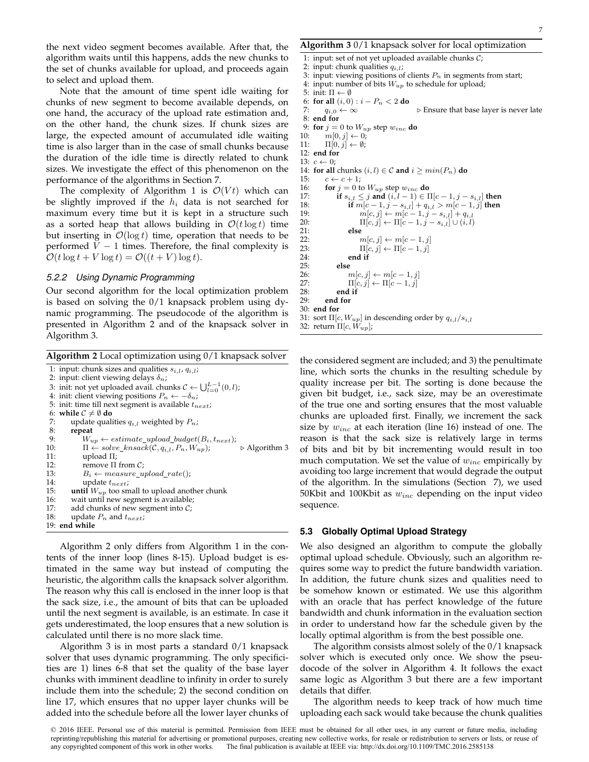the next video segment becomes available. After that, the algorithm waits until this happens, adds the new chunks to the set of chunks available for upload, and proceeds again to select and upload them.

Note that the amount of time spent idle waiting for chunks of new segment to become available depends, on one hand, the accuracy of the upload rate estimation and, on the other hand, the chunk sizes. If chunk sizes are large, the expected amount of accumulated idle waiting time is also larger than in the case of small chunks because the duration of the idle time is directly related to chunk sizes. We investigate the effect of this phenomenon on the performance of the algorithms in Section 7.

The complexity of Algorithm 1 is  $\mathcal{O}(Vt)$  which can be slightly improved if the  $h_i$  data is not searched for maximum every time but it is kept in a structure such as a sorted heap that allows building in  $\mathcal{O}(t \log t)$  time but inserting in  $\mathcal{O}(\log t)$  time, operation that needs to be performed  $V - 1$  times. Therefore, the final complexity is  $\mathcal{O}(t \log t + V \log t) = \mathcal{O}((t + V) \log t).$ 

## *5.2.2 Using Dynamic Programming*

Our second algorithm for the local optimization problem is based on solving the 0/1 knapsack problem using dynamic programming. The pseudocode of the algorithm is presented in Algorithm 2 and of the knapsack solver in Algorithm 3.

**Algorithm 2** Local optimization using 0/1 knapsack solver

```
1: input: chunk sizes and qualities s_{i,l}, q_{i,l};
 2: input: client viewing delays \delta_n;
  3: init: not yet uploaded avail. chunks \mathcal{C} \leftarrow \bigcup_{l=0}^{L-1}(0, l);
  4: init: client viewing positions P_n \leftarrow -\delta_n;
 5: init: time till next segment is available t_{next};
 6: while C \neq \emptyset do<br>7: update quali
 7: update qualities q_{i,l} weighted by P_n;<br>8: repeat
 8: repeat<br>9: W_u9: W_{up} \leftarrow estimate\_upload\_budget(B_i, t_{next});<br>10: \Pi \leftarrow solve \; knsack(C, a_i, P_n, W_{un});10: \Pi \leftarrow solve\_knsack(\mathcal{C}, q_{i,l}, P_n, W_{up}); \triangleright Algorithm 3<br>11: upload \Pi;
11: \text{upload } \Pi;<br>12: \text{remove } \Pi12: remove Π from C;<br>13: B_i \leftarrow measure \ u13: B_i \leftarrow measure\_upload\_rate();<br>14: update t_{next}:
14: update t_{next};<br>15: until W_{\text{un}} too sm
           until W_{up} too small to upload another chunk
16: wait until new segment is available;<br>17: add chunks of new segment into C:
17: add chunks of new segment into C;<br>18: update P_n and t_{next};
           update P_n and t_{next};
19: end while
```
Algorithm 2 only differs from Algorithm 1 in the contents of the inner loop (lines 8-15). Upload budget is estimated in the same way but instead of computing the heuristic, the algorithm calls the knapsack solver algorithm. The reason why this call is enclosed in the inner loop is that the sack size, i.e., the amount of bits that can be uploaded until the next segment is available, is an estimate. In case it gets underestimated, the loop ensures that a new solution is calculated until there is no more slack time.

Algorithm 3 is in most parts a standard 0/1 knapsack solver that uses dynamic programming. The only specificities are 1) lines 6-8 that set the quality of the base layer chunks with imminent deadline to infinity in order to surely include them into the schedule; 2) the second condition on line 17, which ensures that no upper layer chunks will be added into the schedule before all the lower layer chunks of

**Algorithm 3** 0/1 knapsack solver for local optimization

1: input: set of not yet uploaded available chunks  $C$ ; 2: input: chunk qualities  $q_{i,l}$ ; 3: input: viewing positions of clients  $P_n$  in segments from start; 4: input: number of bits  $W_{up}$  to schedule for upload; 5: init:  $\Pi \leftarrow \emptyset$ 6: **for all**  $(i, 0)$  :  $i - P_n < 2$  **do** 7:  $q_{i,0} \leftarrow \infty$  > Ensure that base layer is never late 8: **end for** 9: **for**  $j = 0$  to  $W_{up}$  step  $w_{inc}$  **do**<br>10:  $m[0, j] \leftarrow 0$ :  $m[0, j] \leftarrow 0;$ 11:  $\Pi[0, j] \leftarrow \emptyset;$ 12: **end for** 13:  $c \leftarrow 0$ : 14: **for all** chunks  $(i, l) \in \mathcal{C}$  and  $i \geq min(P_n)$  do 15:  $c \leftarrow c + 1;$ 16: **for**  $j = 0$  to  $W_{up}$  step  $w_{inc}$  **do**<br>17: **if**  $s_{i,l} \leq j$  and  $(i, l-1) \in I$ 17: **if**  $s_{i,l} \leq j$  and  $(i, l-1) \in \Pi[c-1, j-s_{i,l}]$  then<br>18: **if**  $m[c-1, j-s_{i,l}] + a_{i,l} > m[c-1, j]$  then 18: **if**  $m[c - 1, j - s_{i,l}] + q_{i,l} > m[c - 1, j]$  **then**<br>19:  $m[c, j] \leftarrow m[c - 1, j - s_{i,l}] + q_{i,l}$ 19:  $m[c, j] \leftarrow m[c - 1, j - s_{i,l}] + q_{i,l}$ <br>
20:  $\Pi[c, j] \leftarrow \Pi[c - 1, j - s_{i,l}] \cup (i, l)$ 20:  $\Pi[c, j] \leftarrow \Pi[c - 1, j - s_{i,l}] \cup (i, l)$ <br>21: else 21: **else** 22:  $m[c, j] \leftarrow m[c - 1, j]$ <br>23:  $\Pi[c, j] \leftarrow \Pi[c - 1, j]$  $\Pi[c, j] \leftarrow \Pi[c - 1, j]$ 24: **end if** 25: **else**  $m[c, j] \leftarrow m[c - 1, j]$ 27:  $\Pi[c, j] \leftarrow \Pi[c - 1, j]$ 28: **end if** end for 30: **end for** 31: sort $\Pi[c, W_{up}]$  in descending order by  $q_{i,l}/s_{i,l}$ 32: return  $\Pi[c, W_{up}];$ 

the considered segment are included; and 3) the penultimate line, which sorts the chunks in the resulting schedule by quality increase per bit. The sorting is done because the given bit budget, i.e., sack size, may be an overestimate of the true one and sorting ensures that the most valuable chunks are uploaded first. Finally, we increment the sack size by  $w_{inc}$  at each iteration (line 16) instead of one. The reason is that the sack size is relatively large in terms of bits and bit by bit incrementing would result in too much computation. We set the value of  $w_{inc}$  empirically by avoiding too large increment that would degrade the output of the algorithm. In the simulations (Section 7), we used 50Kbit and 100Kbit as  $w_{inc}$  depending on the input video sequence.

#### **5.3 Globally Optimal Upload Strategy**

We also designed an algorithm to compute the globally optimal upload schedule. Obviously, such an algorithm requires some way to predict the future bandwidth variation. In addition, the future chunk sizes and qualities need to be somehow known or estimated. We use this algorithm with an oracle that has perfect knowledge of the future bandwidth and chunk information in the evaluation section in order to understand how far the schedule given by the locally optimal algorithm is from the best possible one.

The algorithm consists almost solely of the 0/1 knapsack solver which is executed only once. We show the pseudocode of the solver in Algorithm 4. It follows the exact same logic as Algorithm 3 but there are a few important details that differ.

The algorithm needs to keep track of how much time uploading each sack would take because the chunk qualities

7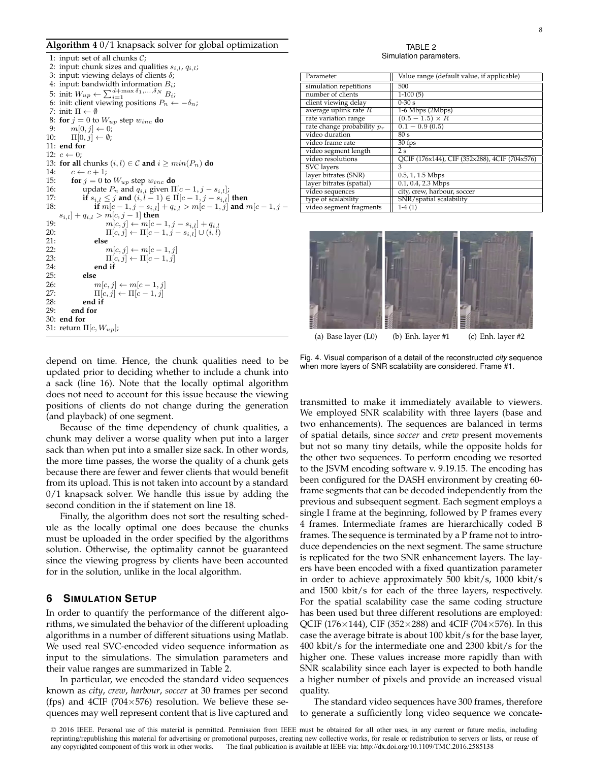#### **Algorithm 4** 0/1 knapsack solver for global optimization

1: input: set of all chunks C; 2: input: chunk sizes and qualities  $s_{i,l}$ ,  $q_{i,l}$ ; 3: input: viewing delays of clients  $\delta$ ; 4: input: bandwidth information  $B_i$ ; 5: init:  $W_{up} \leftarrow \sum_{i=1}^{d+\max \delta_1, ..., \delta_N} B_i;$ 6: init: client viewing positions  $P_n \leftarrow -\delta_n$ ; 7: init:  $\Pi \leftarrow \emptyset$ 8: **for**  $j = 0$  to  $W_{up}$  step  $w_{inc}$  **do**<br>9:  $m[0, j] \leftarrow 0$ : 9:  $m[0, j] \leftarrow 0;$ <br>10:  $\Pi[0, j] \leftarrow \emptyset;$  $\Pi[0, j] \leftarrow \emptyset;$ 11: **end for** 12:  $c \leftarrow 0$ : 13: **for all** chunks  $(i, l) \in \mathcal{C}$  and  $i \geq min(P_n)$  do 14:  $c \leftarrow c + 1$ : 15: **for**  $j = 0$  to  $W_{up}$  step  $w_{inc}$  **do**<br>16: **where**  $P_n$  and  $q_{i,l}$  given  $\Pi$ 16: update  $P_n$  and  $q_{i,l}$  given  $\Pi[c-1, j-s_{i,l}]$ ;<br>17: **if**  $s_{i,l} < j$  **and**  $(i, l-1) \in \Pi[c-1, j-s_{i,l}]$ 17: **if**  $s_{i,l} \leq j$  **and**  $(i, l - 1) \in \Pi[c - 1, j - s_{i,l}]$  **then**<br>18: **if**  $m[c - 1, j - s_{i,l}] + q_{i,l} > m[c - 1, j]$  **and** *n* **if**  $m[c − 1, j − s_{i,l}] + q_{i,l} > m[c − 1, j]$  and  $m[c − 1, j −$  $s_{i,l}] + q_{i,l} > m[c,j-1]$  then 19:  $m[c, j] \leftarrow m[c - 1, j - s_{i,l}] + q_{i,l}$ <br>
20:  $\Pi[c, j] \leftarrow \Pi[c - 1, j - s_{i,l}] \cup (i, l)$ 20:  $\Pi[c, j] \leftarrow \Pi[c - 1, j - s_{i,l}] \cup (i, l)$ <br>21: else 21: **else** 22:  $m[c, j] \leftarrow m[c - 1, j]$ <br>23:  $\Pi[c, j] \leftarrow \Pi[c - 1, j]$  $\Pi[c, j] \leftarrow \Pi[c - 1, j]$ 24: **end if** 25: **else**  $m[c, j] \leftarrow m[c - 1, j]$ 27:  $\Pi[c, j] \leftarrow \Pi[c - 1, j]$ <br>28: end if 28: **end if** 29: **end for** 30: **end for** 31: return  $\Pi[c, W_{up}];$ 

TABLE 2 Simulation parameters.

| Parameter                     | Value range (default value, if applicable)    |  |  |  |
|-------------------------------|-----------------------------------------------|--|--|--|
| simulation repetitions        | 500                                           |  |  |  |
| number of clients             | $1-100(5)$                                    |  |  |  |
| client viewing delay          | $0-30s$                                       |  |  |  |
| average uplink rate $R$       | 1-6 Mbps (2Mbps)                              |  |  |  |
| rate variation range          | $(0.5 - 1.5) \times R$                        |  |  |  |
| rate change probability $p_r$ | $0.1 - 0.9(0.5)$                              |  |  |  |
| video duration                | 80 s                                          |  |  |  |
| video frame rate              | $30$ fps                                      |  |  |  |
| video segment length          | 2 s                                           |  |  |  |
| video resolutions             | QCIF (176x144), CIF (352x288), 4CIF (704x576) |  |  |  |
| <b>SVC</b> layers             | 3                                             |  |  |  |
| layer bitrates (SNR)          | 0.5, 1, 1.5 Mbps                              |  |  |  |
| layer bitrates (spatial)      | 0.1, 0.4, 2.3 Mbps                            |  |  |  |
| video sequences               | city, crew, harbour, soccer                   |  |  |  |
| type of scalability           | SNR/spatial scalability                       |  |  |  |
| video segment fragments       | $1-4(1)$                                      |  |  |  |



(a) Base layer  $(L0)$  (b) Enh. layer  $#1$  (c) Enh. layer  $#2$ 

depend on time. Hence, the chunk qualities need to be updated prior to deciding whether to include a chunk into a sack (line 16). Note that the locally optimal algorithm does not need to account for this issue because the viewing positions of clients do not change during the generation (and playback) of one segment.

Because of the time dependency of chunk qualities, a chunk may deliver a worse quality when put into a larger sack than when put into a smaller size sack. In other words, the more time passes, the worse the quality of a chunk gets because there are fewer and fewer clients that would benefit from its upload. This is not taken into account by a standard 0/1 knapsack solver. We handle this issue by adding the second condition in the if statement on line 18.

Finally, the algorithm does not sort the resulting schedule as the locally optimal one does because the chunks must be uploaded in the order specified by the algorithms solution. Otherwise, the optimality cannot be guaranteed since the viewing progress by clients have been accounted for in the solution, unlike in the local algorithm.

# **6 SIMULATION SETUP**

In order to quantify the performance of the different algorithms, we simulated the behavior of the different uploading algorithms in a number of different situations using Matlab. We used real SVC-encoded video sequence information as input to the simulations. The simulation parameters and their value ranges are summarized in Table 2.

In particular, we encoded the standard video sequences known as *city*, *crew*, *harbour*, *soccer* at 30 frames per second (fps) and 4CIF (704 $\times$ 576) resolution. We believe these sequences may well represent content that is live captured and

Fig. 4. Visual comparison of a detail of the reconstructed *city* sequence when more layers of SNR scalability are considered. Frame #1.

transmitted to make it immediately available to viewers. We employed SNR scalability with three layers (base and two enhancements). The sequences are balanced in terms of spatial details, since *soccer* and *crew* present movements but not so many tiny details, while the opposite holds for the other two sequences. To perform encoding we resorted to the JSVM encoding software v. 9.19.15. The encoding has been configured for the DASH environment by creating 60 frame segments that can be decoded independently from the previous and subsequent segment. Each segment employs a single I frame at the beginning, followed by P frames every 4 frames. Intermediate frames are hierarchically coded B frames. The sequence is terminated by a P frame not to introduce dependencies on the next segment. The same structure is replicated for the two SNR enhancement layers. The layers have been encoded with a fixed quantization parameter in order to achieve approximately 500 kbit/s, 1000 kbit/s and 1500 kbit/s for each of the three layers, respectively. For the spatial scalability case the same coding structure has been used but three different resolutions are employed: QCIF (176 $\times$ 144), CIF (352 $\times$ 288) and 4CIF (704 $\times$ 576). In this case the average bitrate is about 100 kbit/s for the base layer, 400 kbit/s for the intermediate one and 2300 kbit/s for the higher one. These values increase more rapidly than with SNR scalability since each layer is expected to both handle a higher number of pixels and provide an increased visual quality.

The standard video sequences have 300 frames, therefore to generate a sufficiently long video sequence we concate-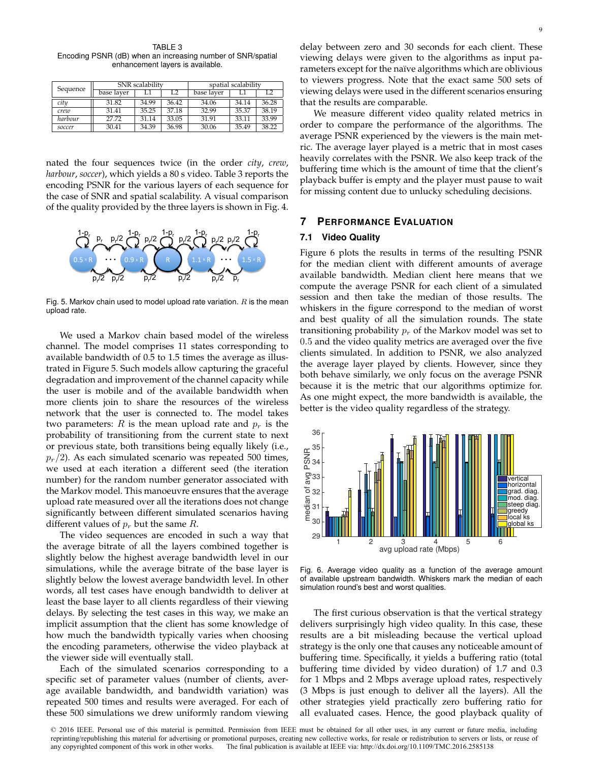TABLE 3 Encoding PSNR (dB) when an increasing number of SNR/spatial enhancement layers is available.

| Sequence | SNR scalability |       |       | spatial scalability |       |       |
|----------|-----------------|-------|-------|---------------------|-------|-------|
|          | base layer      |       |       | base laver          |       |       |
| citu     | 31.82           | 34.99 | 36.42 | 34.06               | 34.14 | 36.28 |
| crew     | 31.41           | 35.25 | 37.18 | 32.99               | 35.37 | 38.19 |
| harbour  | 27.72           | 31.14 | 33.05 | 31.91               | 33.11 | 33.99 |
| soccer   | 30.41           | 34.39 | 36.98 | 30.06               | 35.49 | 38.22 |

nated the four sequences twice (in the order *city*, *crew*, *harbour*, *soccer*), which yields a 80 s video. Table 3 reports the encoding PSNR for the various layers of each sequence for the case of SNR and spatial scalability. A visual comparison of the quality provided by the three layers is shown in Fig. 4.



Fig. 5. Markov chain used to model upload rate variation.  $R$  is the mean upload rate.

We used a Markov chain based model of the wireless channel. The model comprises 11 states corresponding to available bandwidth of 0.5 to 1.5 times the average as illustrated in Figure 5. Such models allow capturing the graceful degradation and improvement of the channel capacity while the user is mobile and of the available bandwidth when more clients join to share the resources of the wireless network that the user is connected to. The model takes two parameters: R is the mean upload rate and  $p_r$  is the probability of transitioning from the current state to next or previous state, both transitions being equally likely (i.e.,  $p_r/2$ ). As each simulated scenario was repeated 500 times, we used at each iteration a different seed (the iteration number) for the random number generator associated with the Markov model. This manoeuvre ensures that the average upload rate measured over all the iterations does not change significantly between different simulated scenarios having different values of  $p_r$  but the same  $R$ .

The video sequences are encoded in such a way that the average bitrate of all the layers combined together is slightly below the highest average bandwidth level in our simulations, while the average bitrate of the base layer is slightly below the lowest average bandwidth level. In other words, all test cases have enough bandwidth to deliver at least the base layer to all clients regardless of their viewing delays. By selecting the test cases in this way, we make an implicit assumption that the client has some knowledge of how much the bandwidth typically varies when choosing the encoding parameters, otherwise the video playback at the viewer side will eventually stall.

Each of the simulated scenarios corresponding to a specific set of parameter values (number of clients, average available bandwidth, and bandwidth variation) was repeated 500 times and results were averaged. For each of these 500 simulations we drew uniformly random viewing

delay between zero and 30 seconds for each client. These viewing delays were given to the algorithms as input parameters except for the naïve algorithms which are oblivious to viewers progress. Note that the exact same 500 sets of viewing delays were used in the different scenarios ensuring that the results are comparable.

We measure different video quality related metrics in order to compare the performance of the algorithms. The average PSNR experienced by the viewers is the main metric. The average layer played is a metric that in most cases heavily correlates with the PSNR. We also keep track of the buffering time which is the amount of time that the client's playback buffer is empty and the player must pause to wait for missing content due to unlucky scheduling decisions.

# **7 PERFORMANCE EVALUATION**

## **7.1 Video Quality**

Figure 6 plots the results in terms of the resulting PSNR for the median client with different amounts of average available bandwidth. Median client here means that we compute the average PSNR for each client of a simulated session and then take the median of those results. The whiskers in the figure correspond to the median of worst and best quality of all the simulation rounds. The state transitioning probability  $p_r$  of the Markov model was set to 0.5 and the video quality metrics are averaged over the five clients simulated. In addition to PSNR, we also analyzed the average layer played by clients. However, since they both behave similarly, we only focus on the average PSNR because it is the metric that our algorithms optimize for. As one might expect, the more bandwidth is available, the better is the video quality regardless of the strategy.



Fig. 6. Average video quality as a function of the average amount of available upstream bandwidth. Whiskers mark the median of each simulation round's best and worst qualities.

The first curious observation is that the vertical strategy delivers surprisingly high video quality. In this case, these results are a bit misleading because the vertical upload strategy is the only one that causes any noticeable amount of buffering time. Specifically, it yields a buffering ratio (total buffering time divided by video duration) of 1.7 and 0.3 for 1 Mbps and 2 Mbps average upload rates, respectively (3 Mbps is just enough to deliver all the layers). All the other strategies yield practically zero buffering ratio for all evaluated cases. Hence, the good playback quality of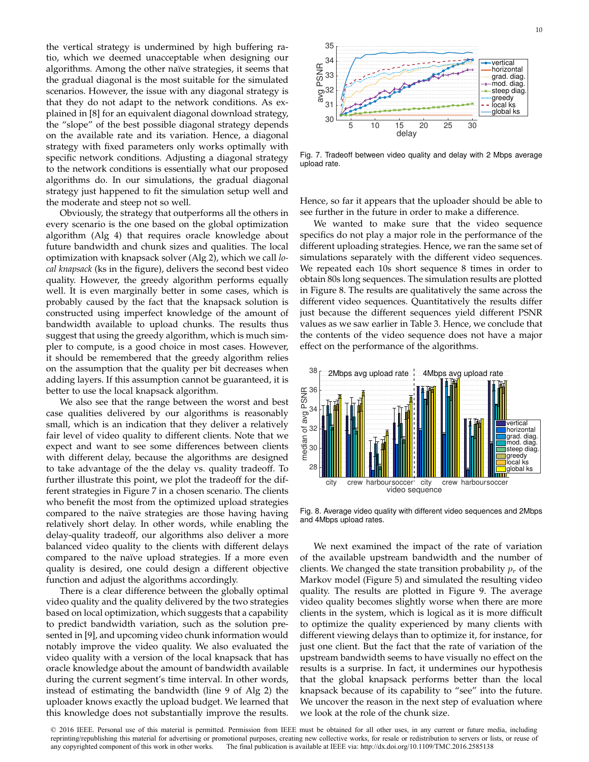the vertical strategy is undermined by high buffering ratio, which we deemed unacceptable when designing our algorithms. Among the other naïve strategies, it seems that the gradual diagonal is the most suitable for the simulated scenarios. However, the issue with any diagonal strategy is that they do not adapt to the network conditions. As explained in [8] for an equivalent diagonal download strategy, the "slope" of the best possible diagonal strategy depends on the available rate and its variation. Hence, a diagonal strategy with fixed parameters only works optimally with specific network conditions. Adjusting a diagonal strategy to the network conditions is essentially what our proposed algorithms do. In our simulations, the gradual diagonal strategy just happened to fit the simulation setup well and the moderate and steep not so well.

Obviously, the strategy that outperforms all the others in every scenario is the one based on the global optimization algorithm (Alg 4) that requires oracle knowledge about future bandwidth and chunk sizes and qualities. The local optimization with knapsack solver (Alg 2), which we call *local knapsack* (ks in the figure), delivers the second best video quality. However, the greedy algorithm performs equally well. It is even marginally better in some cases, which is probably caused by the fact that the knapsack solution is constructed using imperfect knowledge of the amount of bandwidth available to upload chunks. The results thus suggest that using the greedy algorithm, which is much simpler to compute, is a good choice in most cases. However, it should be remembered that the greedy algorithm relies on the assumption that the quality per bit decreases when adding layers. If this assumption cannot be guaranteed, it is better to use the local knapsack algorithm.

We also see that the range between the worst and best case qualities delivered by our algorithms is reasonably small, which is an indication that they deliver a relatively fair level of video quality to different clients. Note that we expect and want to see some differences between clients with different delay, because the algorithms are designed to take advantage of the the delay vs. quality tradeoff. To further illustrate this point, we plot the tradeoff for the different strategies in Figure 7 in a chosen scenario. The clients who benefit the most from the optimized upload strategies compared to the naïve strategies are those having having relatively short delay. In other words, while enabling the delay-quality tradeoff, our algorithms also deliver a more balanced video quality to the clients with different delays compared to the naïve upload strategies. If a more even quality is desired, one could design a different objective function and adjust the algorithms accordingly.

There is a clear difference between the globally optimal video quality and the quality delivered by the two strategies based on local optimization, which suggests that a capability to predict bandwidth variation, such as the solution presented in [9], and upcoming video chunk information would notably improve the video quality. We also evaluated the video quality with a version of the local knapsack that has oracle knowledge about the amount of bandwidth available during the current segment's time interval. In other words, instead of estimating the bandwidth (line 9 of Alg 2) the uploader knows exactly the upload budget. We learned that this knowledge does not substantially improve the results.



Fig. 7. Tradeoff between video quality and delay with 2 Mbps average upload rate.

Hence, so far it appears that the uploader should be able to see further in the future in order to make a difference.

We wanted to make sure that the video sequence specifics do not play a major role in the performance of the different uploading strategies. Hence, we ran the same set of simulations separately with the different video sequences. We repeated each 10s short sequence 8 times in order to obtain 80s long sequences. The simulation results are plotted in Figure 8. The results are qualitatively the same across the different video sequences. Quantitatively the results differ just because the different sequences yield different PSNR values as we saw earlier in Table 3. Hence, we conclude that the contents of the video sequence does not have a major effect on the performance of the algorithms.



Fig. 8. Average video quality with different video sequences and 2Mbps and 4Mbps upload rates.

We next examined the impact of the rate of variation of the available upstream bandwidth and the number of clients. We changed the state transition probability  $p_r$  of the Markov model (Figure 5) and simulated the resulting video quality. The results are plotted in Figure 9. The average video quality becomes slightly worse when there are more clients in the system, which is logical as it is more difficult to optimize the quality experienced by many clients with different viewing delays than to optimize it, for instance, for just one client. But the fact that the rate of variation of the upstream bandwidth seems to have visually no effect on the results is a surprise. In fact, it undermines our hypothesis that the global knapsack performs better than the local knapsack because of its capability to "see" into the future. We uncover the reason in the next step of evaluation where we look at the role of the chunk size.

<sup>© 2016</sup> IEEE. Personal use of this material is permitted. Permission from IEEE must be obtained for all other uses, in any current or future media, including reprinting/republishing this material for advertising or promotional purposes, creating new collective works, for resale or redistribution to servers or lists, or reuse of any copyrighted component of this work in other works. The final publication is available at IEEE via: http://dx.doi.org/10.1109/TMC.2016.2585138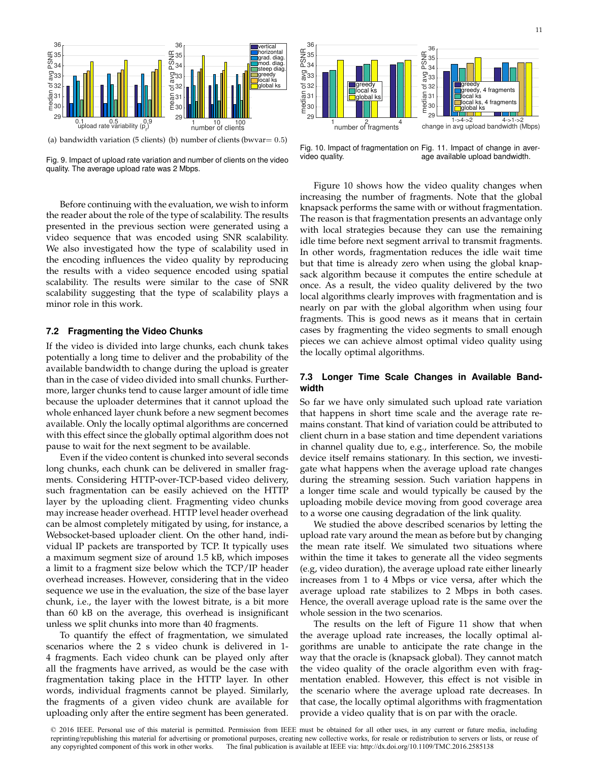

(a) bandwidth variation (5 clients) (b) number of clients (bwvar= 0.5)

Fig. 9. Impact of upload rate variation and number of clients on the video quality. The average upload rate was 2 Mbps.

Before continuing with the evaluation, we wish to inform the reader about the role of the type of scalability. The results presented in the previous section were generated using a video sequence that was encoded using SNR scalability. We also investigated how the type of scalability used in the encoding influences the video quality by reproducing the results with a video sequence encoded using spatial scalability. The results were similar to the case of SNR scalability suggesting that the type of scalability plays a minor role in this work.

#### **7.2 Fragmenting the Video Chunks**

If the video is divided into large chunks, each chunk takes potentially a long time to deliver and the probability of the available bandwidth to change during the upload is greater than in the case of video divided into small chunks. Furthermore, larger chunks tend to cause larger amount of idle time because the uploader determines that it cannot upload the whole enhanced layer chunk before a new segment becomes available. Only the locally optimal algorithms are concerned with this effect since the globally optimal algorithm does not pause to wait for the next segment to be available.

Even if the video content is chunked into several seconds long chunks, each chunk can be delivered in smaller fragments. Considering HTTP-over-TCP-based video delivery, such fragmentation can be easily achieved on the HTTP layer by the uploading client. Fragmenting video chunks may increase header overhead. HTTP level header overhead can be almost completely mitigated by using, for instance, a Websocket-based uploader client. On the other hand, individual IP packets are transported by TCP. It typically uses a maximum segment size of around 1.5 kB, which imposes a limit to a fragment size below which the TCP/IP header overhead increases. However, considering that in the video sequence we use in the evaluation, the size of the base layer chunk, i.e., the layer with the lowest bitrate, is a bit more than 60 kB on the average, this overhead is insignificant unless we split chunks into more than 40 fragments.

To quantify the effect of fragmentation, we simulated scenarios where the 2 s video chunk is delivered in 1- 4 fragments. Each video chunk can be played only after all the fragments have arrived, as would be the case with fragmentation taking place in the HTTP layer. In other words, individual fragments cannot be played. Similarly, the fragments of a given video chunk are available for uploading only after the entire segment has been generated.



Fig. 10. Impact of fragmentation on Fig. 11. Impact of change in avervideo quality. age available upload bandwidth.

Figure 10 shows how the video quality changes when increasing the number of fragments. Note that the global knapsack performs the same with or without fragmentation. The reason is that fragmentation presents an advantage only with local strategies because they can use the remaining idle time before next segment arrival to transmit fragments. In other words, fragmentation reduces the idle wait time but that time is already zero when using the global knapsack algorithm because it computes the entire schedule at once. As a result, the video quality delivered by the two local algorithms clearly improves with fragmentation and is nearly on par with the global algorithm when using four fragments. This is good news as it means that in certain cases by fragmenting the video segments to small enough pieces we can achieve almost optimal video quality using the locally optimal algorithms.

## **7.3 Longer Time Scale Changes in Available Bandwidth**

So far we have only simulated such upload rate variation that happens in short time scale and the average rate remains constant. That kind of variation could be attributed to client churn in a base station and time dependent variations in channel quality due to, e.g., interference. So, the mobile device itself remains stationary. In this section, we investigate what happens when the average upload rate changes during the streaming session. Such variation happens in a longer time scale and would typically be caused by the uploading mobile device moving from good coverage area to a worse one causing degradation of the link quality.

We studied the above described scenarios by letting the upload rate vary around the mean as before but by changing the mean rate itself. We simulated two situations where within the time it takes to generate all the video segments (e.g, video duration), the average upload rate either linearly increases from 1 to 4 Mbps or vice versa, after which the average upload rate stabilizes to 2 Mbps in both cases. Hence, the overall average upload rate is the same over the whole session in the two scenarios.

The results on the left of Figure 11 show that when the average upload rate increases, the locally optimal algorithms are unable to anticipate the rate change in the way that the oracle is (knapsack global). They cannot match the video quality of the oracle algorithm even with fragmentation enabled. However, this effect is not visible in the scenario where the average upload rate decreases. In that case, the locally optimal algorithms with fragmentation provide a video quality that is on par with the oracle.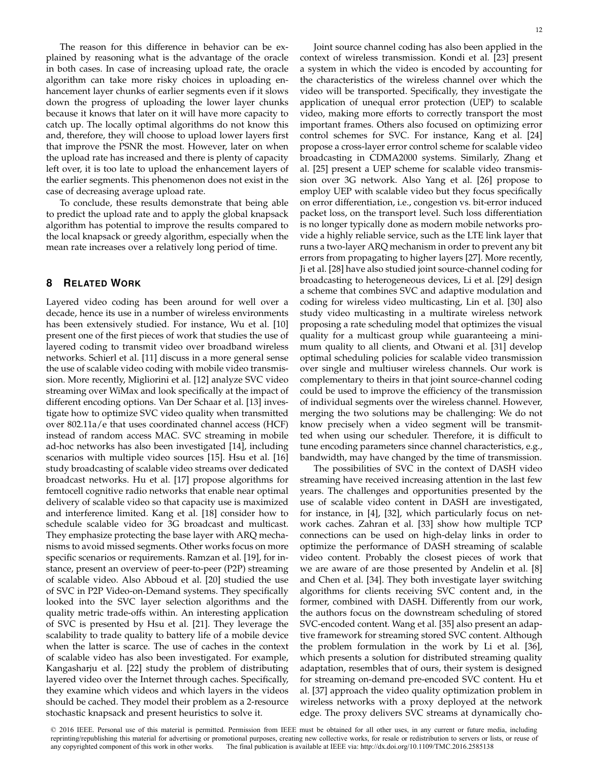The reason for this difference in behavior can be explained by reasoning what is the advantage of the oracle in both cases. In case of increasing upload rate, the oracle algorithm can take more risky choices in uploading enhancement layer chunks of earlier segments even if it slows down the progress of uploading the lower layer chunks because it knows that later on it will have more capacity to catch up. The locally optimal algorithms do not know this and, therefore, they will choose to upload lower layers first that improve the PSNR the most. However, later on when the upload rate has increased and there is plenty of capacity left over, it is too late to upload the enhancement layers of the earlier segments. This phenomenon does not exist in the case of decreasing average upload rate.

To conclude, these results demonstrate that being able to predict the upload rate and to apply the global knapsack algorithm has potential to improve the results compared to the local knapsack or greedy algorithm, especially when the mean rate increases over a relatively long period of time.

# **8 RELATED WORK**

Layered video coding has been around for well over a decade, hence its use in a number of wireless environments has been extensively studied. For instance, Wu et al. [10] present one of the first pieces of work that studies the use of layered coding to transmit video over broadband wireless networks. Schierl et al. [11] discuss in a more general sense the use of scalable video coding with mobile video transmission. More recently, Migliorini et al. [12] analyze SVC video streaming over WiMax and look specifically at the impact of different encoding options. Van Der Schaar et al. [13] investigate how to optimize SVC video quality when transmitted over 802.11a/e that uses coordinated channel access (HCF) instead of random access MAC. SVC streaming in mobile ad-hoc networks has also been investigated [14], including scenarios with multiple video sources [15]. Hsu et al. [16] study broadcasting of scalable video streams over dedicated broadcast networks. Hu et al. [17] propose algorithms for femtocell cognitive radio networks that enable near optimal delivery of scalable video so that capacity use is maximized and interference limited. Kang et al. [18] consider how to schedule scalable video for 3G broadcast and multicast. They emphasize protecting the base layer with ARQ mechanisms to avoid missed segments. Other works focus on more specific scenarios or requirements. Ramzan et al. [19], for instance, present an overview of peer-to-peer (P2P) streaming of scalable video. Also Abboud et al. [20] studied the use of SVC in P2P Video-on-Demand systems. They specifically looked into the SVC layer selection algorithms and the quality metric trade-offs within. An interesting application of SVC is presented by Hsu et al. [21]. They leverage the scalability to trade quality to battery life of a mobile device when the latter is scarce. The use of caches in the context of scalable video has also been investigated. For example, Kangasharju et al. [22] study the problem of distributing layered video over the Internet through caches. Specifically, they examine which videos and which layers in the videos should be cached. They model their problem as a 2-resource stochastic knapsack and present heuristics to solve it.

Joint source channel coding has also been applied in the context of wireless transmission. Kondi et al. [23] present a system in which the video is encoded by accounting for the characteristics of the wireless channel over which the video will be transported. Specifically, they investigate the application of unequal error protection (UEP) to scalable video, making more efforts to correctly transport the most important frames. Others also focused on optimizing error control schemes for SVC. For instance, Kang et al. [24] propose a cross-layer error control scheme for scalable video broadcasting in CDMA2000 systems. Similarly, Zhang et al. [25] present a UEP scheme for scalable video transmission over 3G network. Also Yang et al. [26] propose to employ UEP with scalable video but they focus specifically on error differentiation, i.e., congestion vs. bit-error induced packet loss, on the transport level. Such loss differentiation is no longer typically done as modern mobile networks provide a highly reliable service, such as the LTE link layer that runs a two-layer ARQ mechanism in order to prevent any bit errors from propagating to higher layers [27]. More recently, Ji et al. [28] have also studied joint source-channel coding for broadcasting to heterogeneous devices, Li et al. [29] design a scheme that combines SVC and adaptive modulation and coding for wireless video multicasting, Lin et al. [30] also study video multicasting in a multirate wireless network proposing a rate scheduling model that optimizes the visual quality for a multicast group while guaranteeing a minimum quality to all clients, and Otwani et al. [31] develop optimal scheduling policies for scalable video transmission over single and multiuser wireless channels. Our work is complementary to theirs in that joint source-channel coding could be used to improve the efficiency of the transmission of individual segments over the wireless channel. However, merging the two solutions may be challenging: We do not know precisely when a video segment will be transmitted when using our scheduler. Therefore, it is difficult to tune encoding parameters since channel characteristics, e.g., bandwidth, may have changed by the time of transmission.

The possibilities of SVC in the context of DASH video streaming have received increasing attention in the last few years. The challenges and opportunities presented by the use of scalable video content in DASH are investigated, for instance, in [4], [32], which particularly focus on network caches. Zahran et al. [33] show how multiple TCP connections can be used on high-delay links in order to optimize the performance of DASH streaming of scalable video content. Probably the closest pieces of work that we are aware of are those presented by Andelin et al. [8] and Chen et al. [34]. They both investigate layer switching algorithms for clients receiving SVC content and, in the former, combined with DASH. Differently from our work, the authors focus on the downstream scheduling of stored SVC-encoded content. Wang et al. [35] also present an adaptive framework for streaming stored SVC content. Although the problem formulation in the work by Li et al. [36], which presents a solution for distributed streaming quality adaptation, resembles that of ours, their system is designed for streaming on-demand pre-encoded SVC content. Hu et al. [37] approach the video quality optimization problem in wireless networks with a proxy deployed at the network edge. The proxy delivers SVC streams at dynamically cho-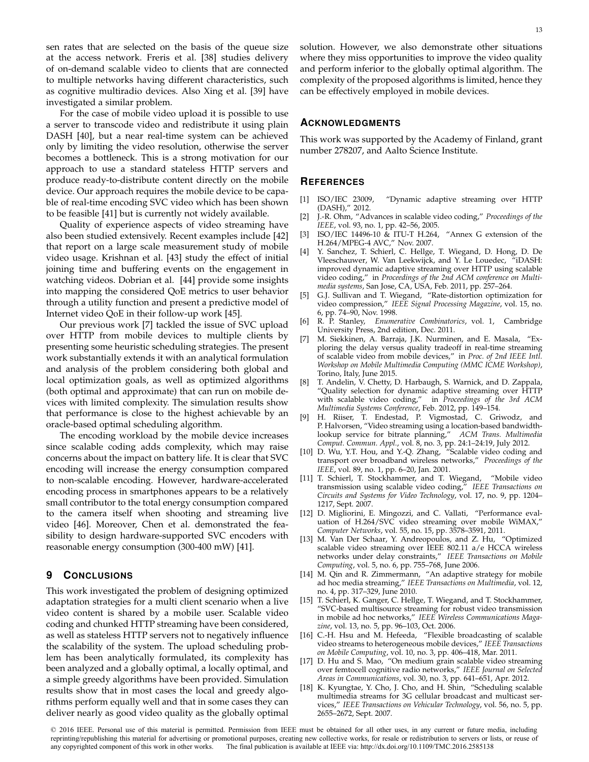sen rates that are selected on the basis of the queue size at the access network. Freris et al. [38] studies delivery of on-demand scalable video to clients that are connected to multiple networks having different characteristics, such as cognitive multiradio devices. Also Xing et al. [39] have investigated a similar problem.

For the case of mobile video upload it is possible to use a server to transcode video and redistribute it using plain DASH [40], but a near real-time system can be achieved only by limiting the video resolution, otherwise the server becomes a bottleneck. This is a strong motivation for our approach to use a standard stateless HTTP servers and produce ready-to-distribute content directly on the mobile device. Our approach requires the mobile device to be capable of real-time encoding SVC video which has been shown to be feasible [41] but is currently not widely available.

Quality of experience aspects of video streaming have also been studied extensively. Recent examples include [42] that report on a large scale measurement study of mobile video usage. Krishnan et al. [43] study the effect of initial joining time and buffering events on the engagement in watching videos. Dobrian et al. [44] provide some insights into mapping the considered QoE metrics to user behavior through a utility function and present a predictive model of Internet video QoE in their follow-up work [45].

Our previous work [7] tackled the issue of SVC upload over HTTP from mobile devices to multiple clients by presenting some heuristic scheduling strategies. The present work substantially extends it with an analytical formulation and analysis of the problem considering both global and local optimization goals, as well as optimized algorithms (both optimal and approximate) that can run on mobile devices with limited complexity. The simulation results show that performance is close to the highest achievable by an oracle-based optimal scheduling algorithm.

The encoding workload by the mobile device increases since scalable coding adds complexity, which may raise concerns about the impact on battery life. It is clear that SVC encoding will increase the energy consumption compared to non-scalable encoding. However, hardware-accelerated encoding process in smartphones appears to be a relatively small contributor to the total energy consumption compared to the camera itself when shooting and streaming live video [46]. Moreover, Chen et al. demonstrated the feasibility to design hardware-supported SVC encoders with reasonable energy consumption (300-400 mW) [41].

# **9 CONCLUSIONS**

This work investigated the problem of designing optimized adaptation strategies for a multi client scenario when a live video content is shared by a mobile user. Scalable video coding and chunked HTTP streaming have been considered, as well as stateless HTTP servers not to negatively influence the scalability of the system. The upload scheduling problem has been analytically formulated, its complexity has been analyzed and a globally optimal, a locally optimal, and a simple greedy algorithms have been provided. Simulation results show that in most cases the local and greedy algorithms perform equally well and that in some cases they can deliver nearly as good video quality as the globally optimal

solution. However, we also demonstrate other situations where they miss opportunities to improve the video quality and perform inferior to the globally optimal algorithm. The complexity of the proposed algorithms is limited, hence they can be effectively employed in mobile devices.

#### **ACKNOWLEDGMENTS**

This work was supported by the Academy of Finland, grant number 278207, and Aalto Science Institute.

#### **REFERENCES**

- [1] ISO/IEC 23009, "Dynamic adaptive streaming over HTTP (DASH)," 2012.
- [2] J.-R. Ohm, "Advances in scalable video coding," *Proceedings of the IEEE*, vol. 93, no. 1, pp. 42–56, 2005.
- [3] ISO/IEC 14496-10 & ITU-T H.264, "Annex G extension of the H.264/MPEG-4 AVC," Nov. 2007.
- [4] Y. Sanchez, T. Schierl, C. Hellge, T. Wiegand, D. Hong, D. De Vleeschauwer, W. Van Leekwijck, and Y. Le Louedec, "iDASH: improved dynamic adaptive streaming over HTTP using scalable video coding," in *Proceedings of the 2nd ACM conference on Multimedia systems*, San Jose, CA, USA, Feb. 2011, pp. 257–264.
- [5] G.J. Sullivan and T. Wiegand, "Rate-distortion optimization for video compression," *IEEE Signal Processing Magazine*, vol. 15, no. 6, pp. 74–90, Nov. 1998.
- [6] R. P. Stanley, *Enumerative Combinatorics*, vol. 1, Cambridge University Press, 2nd edition, Dec. 2011.
- [7] M. Siekkinen, A. Barraja, J.K. Nurminen, and E. Masala, "Exploring the delay versus quality tradeoff in real-time streaming of scalable video from mobile devices," in *Proc. of 2nd IEEE Intl. Workshop on Mobile Multimedia Computing (MMC ICME Workshop)*, Torino, Italy, June 2015.
- [8] T. Andelin, V. Chetty, D. Harbaugh, S. Warnick, and D. Zappala, "Quality selection for dynamic adaptive streaming over HTTP with scalable video coding," in *Proceedings of the 3rd ACM Multimedia Systems Conference*, Feb. 2012, pp. 149–154.
- [9] H. Riiser, T. Endestad, P. Vigmostad, C. Griwodz, and P. Halvorsen, "Video streaming using a location-based bandwidthlookup service for bitrate planning," *ACM Trans. Multimedia Comput. Commun. Appl.*, vol. 8, no. 3, pp. 24:1–24:19, July 2012.
- [10] D. Wu, Y.T. Hou, and Y.-Q. Zhang, "Scalable video coding and transport over broadband wireless networks," *Proceedings of the IEEE*, vol. 89, no. 1, pp. 6–20, Jan. 2001.
- [11] T. Schierl, T. Stockhammer, and T. Wiegand, "Mobile video transmission using scalable video coding," *IEEE Transactions on Circuits and Systems for Video Technology*, vol. 17, no. 9, pp. 1204– 1217, Sept. 2007.
- [12] D. Migliorini, E. Mingozzi, and C. Vallati, "Performance evaluation of H.264/SVC video streaming over mobile WiMAX," *Computer Networks*, vol. 55, no. 15, pp. 3578–3591, 2011.
- [13] M. Van Der Schaar, Y. Andreopoulos, and Z. Hu, "Optimized scalable video streaming over IEEE 802.11 a/e HCCA wireless networks under delay constraints," *IEEE Transactions on Mobile Computing*, vol. 5, no. 6, pp. 755–768, June 2006.
- [14] M. Qin and R. Zimmermann, "An adaptive strategy for mobile ad hoc media streaming," *IEEE Transactions on Multimedia*, vol. 12, no. 4, pp. 317–329, June 2010.
- [15] T. Schierl, K. Ganger, C. Hellge, T. Wiegand, and T. Stockhammer, "SVC-based multisource streaming for robust video transmission in mobile ad hoc networks," *IEEE Wireless Communications Magazine*, vol. 13, no. 5, pp. 96–103, Oct. 2006.
- [16] C.-H. Hsu and M. Hefeeda, "Flexible broadcasting of scalable video streams to heterogeneous mobile devices," *IEEE Transactions on Mobile Computing*, vol. 10, no. 3, pp. 406–418, Mar. 2011.
- [17] D. Hu and S. Mao, "On medium grain scalable video streaming over femtocell cognitive radio networks," *IEEE Journal on Selected Areas in Communications*, vol. 30, no. 3, pp. 641–651, Apr. 2012.
- [18] K. Kyungtae, Y. Cho, J. Cho, and H. Shin, "Scheduling scalable multimedia streams for 3G cellular broadcast and multicast services," *IEEE Transactions on Vehicular Technology*, vol. 56, no. 5, pp. 2655–2672, Sept. 2007.